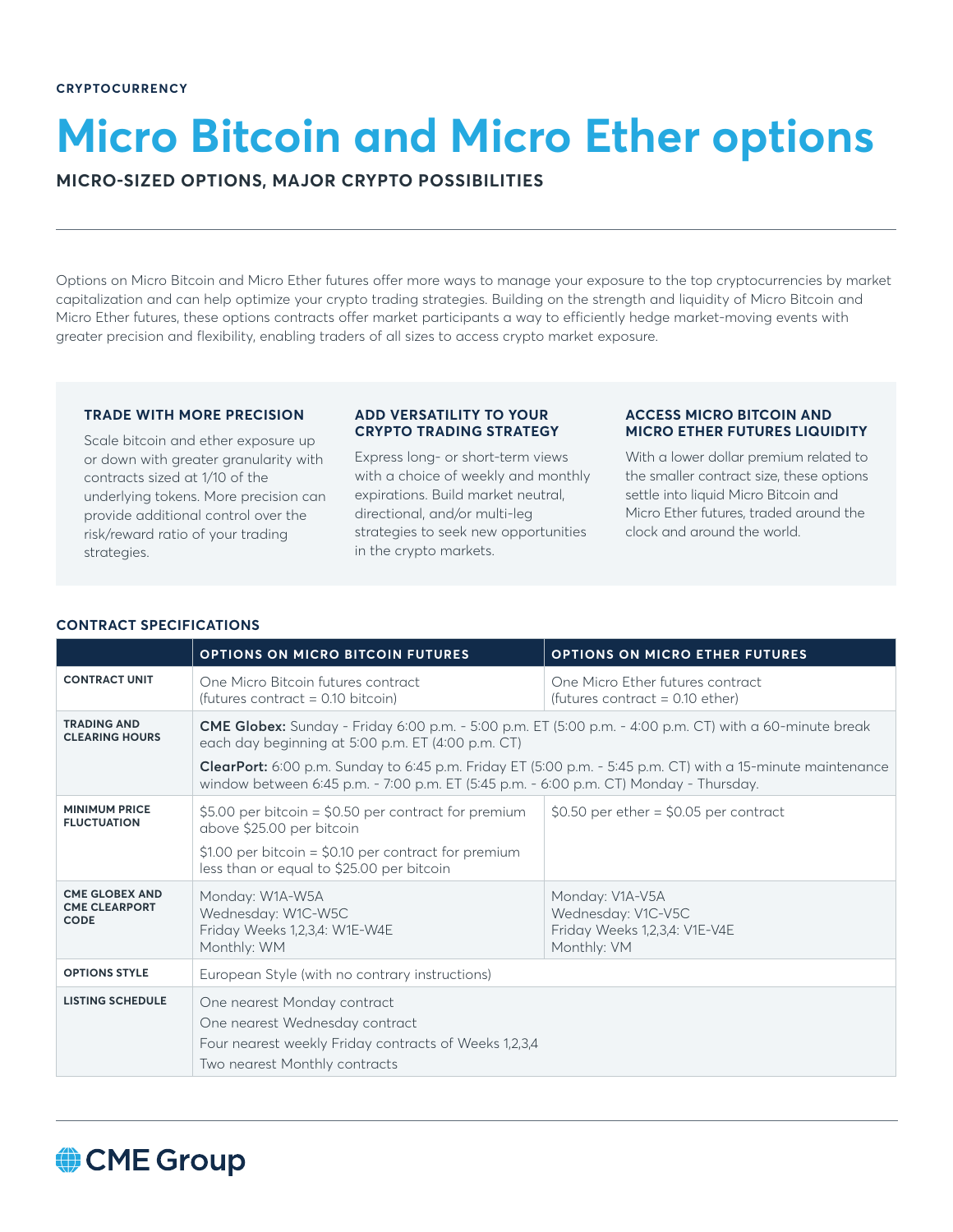# **Micro Bitcoin and Micro Ether options**

**MICRO-SIZED OPTIONS, MAJOR CRYPTO POSSIBILITIES**

Options on Micro Bitcoin and Micro Ether futures offer more ways to manage your exposure to the top cryptocurrencies by market capitalization and can help optimize your crypto trading strategies. Building on the strength and liquidity of Micro Bitcoin and Micro Ether futures, these options contracts offer market participants a way to efficiently hedge market-moving events with greater precision and flexibility, enabling traders of all sizes to access crypto market exposure.

# **TRADE WITH MORE PRECISION**

Scale bitcoin and ether exposure up or down with greater granularity with contracts sized at 1/10 of the underlying tokens. More precision can provide additional control over the risk/reward ratio of your trading strategies.

## **ADD VERSATILITY TO YOUR CRYPTO TRADING STRATEGY**

Express long- or short-term views with a choice of weekly and monthly expirations. Build market neutral, directional, and/or multi-leg strategies to seek new opportunities in the crypto markets.

## **ACCESS MICRO BITCOIN AND MICRO ETHER FUTURES LIQUIDITY**

With a lower dollar premium related to the smaller contract size, these options settle into liquid Micro Bitcoin and Micro Ether futures, traded around the clock and around the world.

# **CONTRACT SPECIFICATIONS**

|                                                              | OPTIONS ON MICRO BITCOIN FUTURES                                                                                                                                                                    | OPTIONS ON MICRO ETHER FUTURES                                                        |
|--------------------------------------------------------------|-----------------------------------------------------------------------------------------------------------------------------------------------------------------------------------------------------|---------------------------------------------------------------------------------------|
| <b>CONTRACT UNIT</b>                                         | One Micro Bitcoin futures contract<br>(futures contract = $0.10$ bitcoin)                                                                                                                           | One Micro Ether futures contract<br>(futures contract = $0.10$ ether)                 |
| <b>TRADING AND</b><br><b>CLEARING HOURS</b>                  | <b>CME Globex:</b> Sunday - Friday 6:00 p.m. - 5:00 p.m. ET (5:00 p.m. - 4:00 p.m. CT) with a 60-minute break<br>each day beginning at 5:00 p.m. ET (4:00 p.m. CT)                                  |                                                                                       |
|                                                              | ClearPort: 6:00 p.m. Sunday to 6:45 p.m. Friday ET (5:00 p.m. - 5:45 p.m. CT) with a 15-minute maintenance<br>window between 6:45 p.m. - 7:00 p.m. ET (5:45 p.m. - 6:00 p.m. CT) Monday - Thursday. |                                                                                       |
| <b>MINIMUM PRICE</b><br><b>FLUCTUATION</b>                   | \$5.00 per bitcoin = \$0.50 per contract for premium<br>above \$25.00 per bitcoin<br>\$1.00 per bitcoin = \$0.10 per contract for premium<br>less than or equal to \$25.00 per bitcoin              | $$0.50$ per ether = \$0.05 per contract                                               |
| <b>CME GLOBEX AND</b><br><b>CME CLEARPORT</b><br><b>CODE</b> | Monday: W1A-W5A<br>Wednesday: W1C-W5C<br>Friday Weeks 1,2,3,4: W1E-W4E<br>Monthly: WM                                                                                                               | Monday: V1A-V5A<br>Wednesday: V1C-V5C<br>Friday Weeks 1,2,3,4: V1E-V4E<br>Monthly: VM |
| <b>OPTIONS STYLE</b>                                         | European Style (with no contrary instructions)                                                                                                                                                      |                                                                                       |
| <b>LISTING SCHEDULE</b>                                      | One nearest Monday contract<br>One nearest Wednesday contract<br>Four nearest weekly Friday contracts of Weeks 1,2,3,4<br>Two nearest Monthly contracts                                             |                                                                                       |

# CME Group